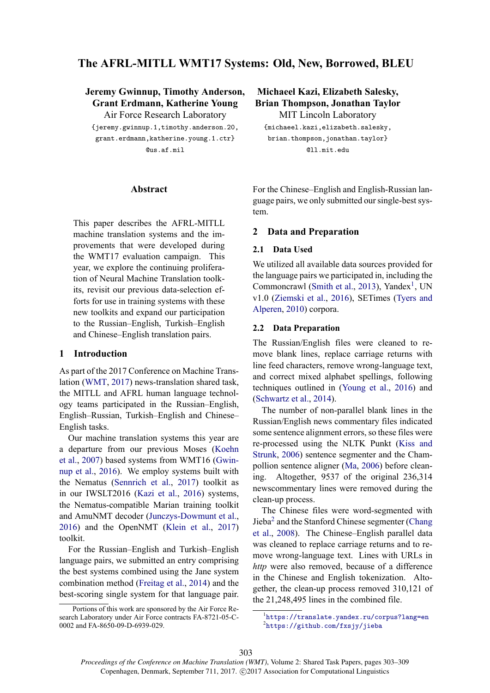# **The AFRL-MITLL WMT17 Systems: Old, New, Borrowed, BLEU**

**Jeremy Gwinnup, Timothy Anderson, Grant Erdmann, Katherine Young** Air Force Research Laboratory

{jeremy.gwinnup.1,timothy.anderson.20, grant.erdmann,katherine.young.1.ctr} @us.af.mil

#### **Abstract**

This paper describes the AFRL-MITLL machine translation systems and the improvements that were developed during the WMT17 evaluation campaign. This year, we explore the continuing proliferation of Neural Machine Translation toolkits, revisit our previous data-selection efforts for use in training systems with these new toolkits and expand our participation to the Russian–English, Turkish–English and Chinese–English translation pairs.

#### **1 Introduction**

As part of the 2017 Conference on Machine Translation (WMT, 2017) news-translation shared task, the MITLL and AFRL human language technology teams participated in the Russian–English, English–Russian, Turkish–English and Chinese– English tasks.

Our machine translation systems this year are a departure from our previous Moses (Koehn et al., 2007) based systems from WMT16 (Gwinnup et al., 2016). We employ systems built with the Nematus (Sennrich et al., 2017) toolkit as in our IWSLT2016 (Kazi et al., 2016) systems, the Nematus-compatible Marian training toolkit and AmuNMT decoder (Junczys-Dowmunt et al., 2016) and the OpenNMT (Klein et al., 2017) toolkit.

For the Russian–English and Turkish–English language pairs, we submitted an entry comprising the best systems combined using the Jane system combination method (Freitag et al., 2014) and the best-scoring single system for that language pair.

**Michaeel Kazi, Elizabeth Salesky, Brian Thompson, Jonathan Taylor**

MIT Lincoln Laboratory {michaeel.kazi,elizabeth.salesky, brian.thompson,jonathan.taylor} @ll.mit.edu

For the Chinese–English and English-Russian language pairs, we only submitted our single-best system.

### **2 Data and Preparation**

#### **2.1 Data Used**

We utilized all available data sources provided for the language pairs we participated in, including the Commoncrawl (Smith et al., 2013), Yandex<sup>1</sup>, UN v1.0 (Ziemski et al., 2016), SETimes (Tyers and Alperen, 2010) corpora.

#### **2.2 Data Preparation**

The Russian/English files were cleaned to remove blank lines, replace carriage returns with line feed characters, remove wrong-language text, and correct mixed alphabet spellings, following techniques outlined in (Young et al., 2016) and (Schwartz et al., 2014).

The number of non-parallel blank lines in the Russian/English news commentary files indicated some sentence alignment errors, so these files were re-processed using the NLTK Punkt (Kiss and Strunk, 2006) sentence segmenter and the Champollion sentence aligner (Ma, 2006) before cleaning. Altogether, 9537 of the original 236,314 newscommentary lines were removed during the clean-up process.

The Chinese files were word-segmented with Jieba<sup>2</sup> and the Stanford Chinese segmenter (Chang et al., 2008). The Chinese–English parallel data was cleaned to replace carriage returns and to remove wrong-language text. Lines with URLs in *http* were also removed, because of a difference in the Chinese and English tokenization. Altogether, the clean-up process removed 310,121 of the 21,248,495 lines in the combined file.

Portions of this work are sponsored by the Air Force Research Laboratory under Air Force contracts FA-8721-05-C-0002 and FA-8650-09-D-6939-029.

<sup>1</sup> https://translate.yandex.ru/corpus?lang=en <sup>2</sup>https://github.com/fxsjy/jieba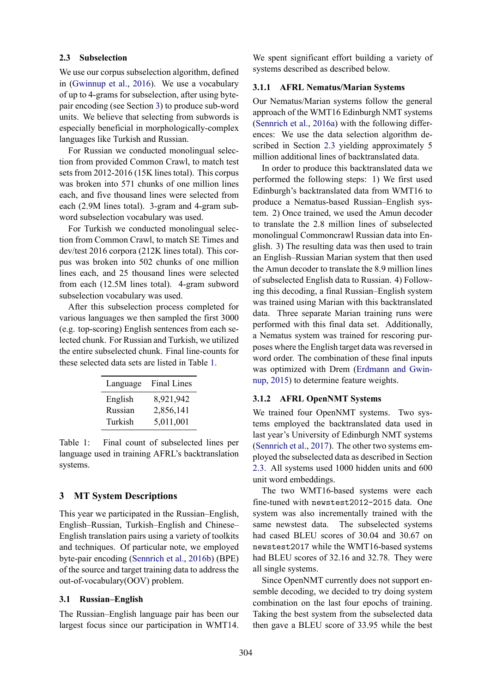### **2.3 Subselection**

We use our corpus subselection algorithm, defined in (Gwinnup et al., 2016). We use a vocabulary of up to 4-grams for subselection, after using bytepair encoding (see Section 3) to produce sub-word units. We believe that selecting from subwords is especially beneficial in morphologically-complex languages like Turkish and Russian.

For Russian we conducted monolingual selection from provided Common Crawl, to match test sets from 2012-2016 (15K lines total). This corpus was broken into 571 chunks of one million lines each, and five thousand lines were selected from each (2.9M lines total). 3-gram and 4-gram subword subselection vocabulary was used.

For Turkish we conducted monolingual selection from Common Crawl, to match SE Times and dev/test 2016 corpora (212K lines total). This corpus was broken into 502 chunks of one million lines each, and 25 thousand lines were selected from each (12.5M lines total). 4-gram subword subselection vocabulary was used.

After this subselection process completed for various languages we then sampled the first 3000 (e.g. top-scoring) English sentences from each selected chunk. For Russian and Turkish, we utilized the entire subselected chunk. Final line-counts for these selected data sets are listed in Table 1.

| Language | <b>Final Lines</b> |
|----------|--------------------|
| English  | 8,921,942          |
| Russian  | 2,856,141          |
| Turkish  | 5,011,001          |

Table 1: Final count of subselected lines per language used in training AFRL's backtranslation systems.

## **3 MT System Descriptions**

This year we participated in the Russian–English, English–Russian, Turkish–English and Chinese– English translation pairs using a variety of toolkits and techniques. Of particular note, we employed byte-pair encoding (Sennrich et al., 2016b) (BPE) of the source and target training data to address the out-of-vocabulary(OOV) problem.

#### **3.1 Russian–English**

The Russian–English language pair has been our largest focus since our participation in WMT14.

We spent significant effort building a variety of systems described as described below.

### **3.1.1 AFRL Nematus/Marian Systems**

Our Nematus/Marian systems follow the general approach of the WMT16 Edinburgh NMT systems (Sennrich et al., 2016a) with the following differences: We use the data selection algorithm described in Section 2.3 yielding approximately 5 million additional lines of backtranslated data.

In order to produce this backtranslated data we performed the following steps: 1) We first used Edinburgh's backtranslated data from WMT16 to produce a Nematus-based Russian–English system. 2) Once trained, we used the Amun decoder to translate the 2.8 million lines of subselected monolingual Commoncrawl Russian data into English. 3) The resulting data was then used to train an English–Russian Marian system that then used the Amun decoder to translate the 8.9 million lines of subselected English data to Russian. 4) Following this decoding, a final Russian–English system was trained using Marian with this backtranslated data. Three separate Marian training runs were performed with this final data set. Additionally, a Nematus system was trained for rescoring purposes where the English target data was reversed in word order. The combination of these final inputs was optimized with Drem (Erdmann and Gwinnup, 2015) to determine feature weights.

#### **3.1.2 AFRL OpenNMT Systems**

We trained four OpenNMT systems. Two systems employed the backtranslated data used in last year's University of Edinburgh NMT systems (Sennrich et al., 2017). The other two systems employed the subselected data as described in Section 2.3. All systems used 1000 hidden units and 600 unit word embeddings.

The two WMT16-based systems were each fine-tuned with newstest2012-2015 data. One system was also incrementally trained with the same newstest data. The subselected systems had cased BLEU scores of 30.04 and 30.67 on newstest2017 while the WMT16-based systems had BLEU scores of 32.16 and 32.78. They were all single systems.

Since OpenNMT currently does not support ensemble decoding, we decided to try doing system combination on the last four epochs of training. Taking the best system from the subselected data then gave a BLEU score of 33.95 while the best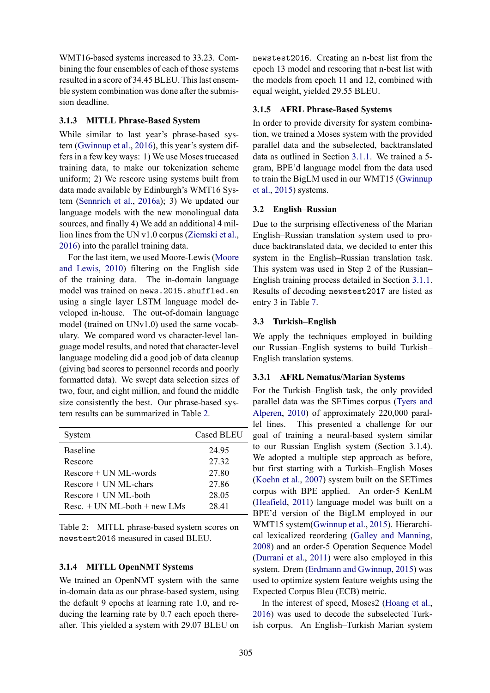WMT16-based systems increased to 33.23. Combining the four ensembles of each of those systems resulted in a score of 34.45 BLEU. This last ensemble system combination was done after the submission deadline.

## **3.1.3 MITLL Phrase-Based System**

While similar to last year's phrase-based system (Gwinnup et al., 2016), this year's system differs in a few key ways: 1) We use Moses truecased training data, to make our tokenization scheme uniform; 2) We rescore using systems built from data made available by Edinburgh's WMT16 System (Sennrich et al., 2016a); 3) We updated our language models with the new monolingual data sources, and finally 4) We add an additional 4 million lines from the UN v1.0 corpus (Ziemski et al., 2016) into the parallel training data.

For the last item, we used Moore-Lewis (Moore and Lewis, 2010) filtering on the English side of the training data. The in-domain language model was trained on news.2015.shuffled.en using a single layer LSTM language model developed in-house. The out-of-domain language model (trained on UNv1.0) used the same vocabulary. We compared word vs character-level language model results, and noted that character-level language modeling did a good job of data cleanup (giving bad scores to personnel records and poorly formatted data). We swept data selection sizes of two, four, and eight million, and found the middle size consistently the best. Our phrase-based system results can be summarized in Table 2.

| System                             | <b>Cased BLEU</b> |
|------------------------------------|-------------------|
| <b>Baseline</b>                    | 24 95             |
| Rescore                            | 27 32             |
| $Rescore + IIN ML$ -words          | 27.80             |
| $Rescore + UN ML-chars$            | 27.86             |
| $Rescore + UN ML$ -both            | 28.05             |
| $Resc_{1} + UN ML$ -both + new LMs | 28.41             |

Table 2: MITLL phrase-based system scores on newstest2016 measured in cased BLEU.

## **3.1.4 MITLL OpenNMT Systems**

We trained an OpenNMT system with the same in-domain data as our phrase-based system, using the default 9 epochs at learning rate 1.0, and reducing the learning rate by 0.7 each epoch thereafter. This yielded a system with 29.07 BLEU on newstest2016. Creating an n-best list from the epoch 13 model and rescoring that n-best list with the models from epoch 11 and 12, combined with equal weight, yielded 29.55 BLEU.

## **3.1.5 AFRL Phrase-Based Systems**

In order to provide diversity for system combination, we trained a Moses system with the provided parallel data and the subselected, backtranslated data as outlined in Section 3.1.1. We trained a 5 gram, BPE'd language model from the data used to train the BigLM used in our WMT15 (Gwinnup et al., 2015) systems.

## **3.2 English–Russian**

Due to the surprising effectiveness of the Marian English–Russian translation system used to produce backtranslated data, we decided to enter this system in the English–Russian translation task. This system was used in Step 2 of the Russian– English training process detailed in Section 3.1.1. Results of decoding newstest2017 are listed as entry 3 in Table 7.

## **3.3 Turkish–English**

We apply the techniques employed in building our Russian–English systems to build Turkish– English translation systems.

### **3.3.1 AFRL Nematus/Marian Systems**

For the Turkish–English task, the only provided parallel data was the SETimes corpus (Tyers and Alperen, 2010) of approximately 220,000 parallel lines. This presented a challenge for our goal of training a neural-based system similar to our Russian–English system (Section 3.1.4). We adopted a multiple step approach as before, but first starting with a Turkish–English Moses (Koehn et al., 2007) system built on the SETimes corpus with BPE applied. An order-5 KenLM (Heafield, 2011) language model was built on a BPE'd version of the BigLM employed in our WMT15 system(Gwinnup et al., 2015). Hierarchical lexicalized reordering (Galley and Manning, 2008) and an order-5 Operation Sequence Model (Durrani et al., 2011) were also employed in this system. Drem (Erdmann and Gwinnup, 2015) was used to optimize system feature weights using the Expected Corpus Bleu (ECB) metric.

In the interest of speed, Moses2 (Hoang et al., 2016) was used to decode the subselected Turkish corpus. An English–Turkish Marian system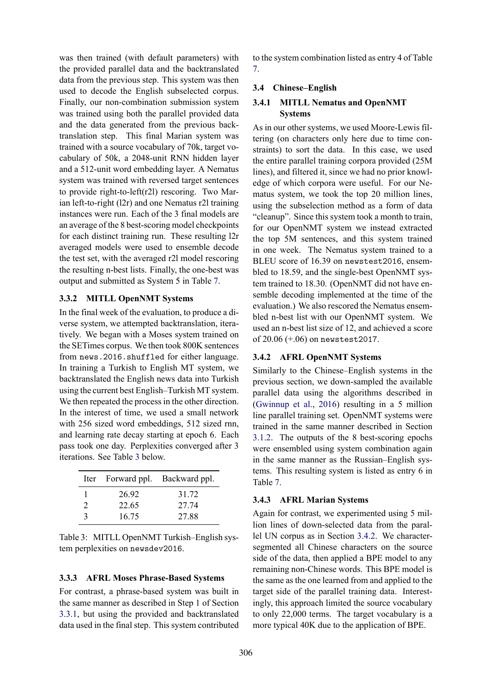was then trained (with default parameters) with the provided parallel data and the backtranslated data from the previous step. This system was then used to decode the English subselected corpus. Finally, our non-combination submission system was trained using both the parallel provided data and the data generated from the previous backtranslation step. This final Marian system was trained with a source vocabulary of 70k, target vocabulary of 50k, a 2048-unit RNN hidden layer and a 512-unit word embedding layer. A Nematus system was trained with reversed target sentences to provide right-to-left(r2l) rescoring. Two Marian left-to-right (l2r) and one Nematus r2l training instances were run. Each of the 3 final models are an average of the 8 best-scoring model checkpoints for each distinct training run. These resulting l2r averaged models were used to ensemble decode the test set, with the averaged r2l model rescoring the resulting n-best lists. Finally, the one-best was output and submitted as System 5 in Table 7.

## **3.3.2 MITLL OpenNMT Systems**

In the final week of the evaluation, to produce a diverse system, we attempted backtranslation, iteratively. We began with a Moses system trained on the SETimes corpus. We then took 800K sentences from news.2016.shuffled for either language. In training a Turkish to English MT system, we backtranslated the English news data into Turkish using the current best English–Turkish MT system. We then repeated the process in the other direction. In the interest of time, we used a small network with 256 sized word embeddings, 512 sized rnn, and learning rate decay starting at epoch 6. Each pass took one day. Perplexities converged after 3 iterations. See Table 3 below.

|               |       | Iter Forward ppl. Backward ppl. |
|---------------|-------|---------------------------------|
|               | 26.92 | 31 72                           |
| $\mathcal{D}$ | 22.65 | 27 74                           |
| 3             | 16.75 | 27.88                           |

| Table 3: MITLL OpenNMT Turkish-English sys- |  |
|---------------------------------------------|--|
| tem perplexities on newsdev2016.            |  |

## **3.3.3 AFRL Moses Phrase-Based Systems**

For contrast, a phrase-based system was built in the same manner as described in Step 1 of Section 3.3.1, but using the provided and backtranslated data used in the final step. This system contributed to the system combination listed as entry 4 of Table 7.

# **3.4 Chinese–English**

# **3.4.1 MITLL Nematus and OpenNMT Systems**

As in our other systems, we used Moore-Lewis filtering (on characters only here due to time constraints) to sort the data. In this case, we used the entire parallel training corpora provided (25M lines), and filtered it, since we had no prior knowledge of which corpora were useful. For our Nematus system, we took the top 20 million lines, using the subselection method as a form of data "cleanup". Since this system took a month to train, for our OpenNMT system we instead extracted the top 5M sentences, and this system trained in one week. The Nematus system trained to a BLEU score of 16.39 on newstest2016, ensembled to 18.59, and the single-best OpenNMT system trained to 18.30. (OpenNMT did not have ensemble decoding implemented at the time of the evaluation.) We also rescored the Nematus ensembled n-best list with our OpenNMT system. We used an n-best list size of 12, and achieved a score of 20.06 (+.06) on newstest2017.

# **3.4.2 AFRL OpenNMT Systems**

Similarly to the Chinese–English systems in the previous section, we down-sampled the available parallel data using the algorithms described in (Gwinnup et al., 2016) resulting in a 5 million line parallel training set. OpenNMT systems were trained in the same manner described in Section 3.1.2. The outputs of the 8 best-scoring epochs were ensembled using system combination again in the same manner as the Russian–English systems. This resulting system is listed as entry 6 in Table 7.

# **3.4.3 AFRL Marian Systems**

Again for contrast, we experimented using 5 million lines of down-selected data from the parallel UN corpus as in Section 3.4.2. We charactersegmented all Chinese characters on the source side of the data, then applied a BPE model to any remaining non-Chinese words. This BPE model is the same as the one learned from and applied to the target side of the parallel training data. Interestingly, this approach limited the source vocabulary to only 22,000 terms. The target vocabulary is a more typical 40K due to the application of BPE.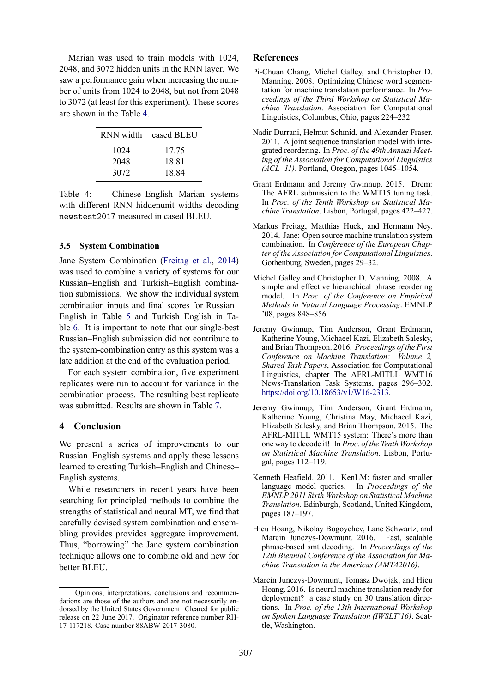Marian was used to train models with 1024, 2048, and 3072 hidden units in the RNN layer. We saw a performance gain when increasing the number of units from 1024 to 2048, but not from 2048 to 3072 (at least for this experiment). These scores are shown in the Table 4.

| RNN width | cased BLEU |
|-----------|------------|
| 1024      | 17.75      |
| 2048      | 18.81      |
| 3072      | 18.84      |

Table 4: Chinese–English Marian systems with different RNN hiddenunit widths decoding newstest2017 measured in cased BLEU.

#### **3.5 System Combination**

Jane System Combination (Freitag et al., 2014) was used to combine a variety of systems for our Russian–English and Turkish–English combination submissions. We show the individual system combination inputs and final scores for Russian– English in Table 5 and Turkish–English in Table 6. It is important to note that our single-best Russian–English submission did not contribute to the system-combination entry as this system was a late addition at the end of the evaluation period.

For each system combination, five experiment replicates were run to account for variance in the combination process. The resulting best replicate was submitted. Results are shown in Table 7.

### **4 Conclusion**

We present a series of improvements to our Russian–English systems and apply these lessons learned to creating Turkish–English and Chinese– English systems.

While researchers in recent years have been searching for principled methods to combine the strengths of statistical and neural MT, we find that carefully devised system combination and ensembling provides provides aggregate improvement. Thus, "borrowing" the Jane system combination technique allows one to combine old and new for better BLEU.

### **References**

- Pi-Chuan Chang, Michel Galley, and Christopher D. Manning. 2008. Optimizing Chinese word segmentation for machine translation performance. In *Proceedings of the Third Workshop on Statistical Machine Translation*. Association for Computational Linguistics, Columbus, Ohio, pages 224–232.
- Nadir Durrani, Helmut Schmid, and Alexander Fraser. 2011. A joint sequence translation model with integrated reordering. In *Proc. of the 49th Annual Meeting of the Association for Computational Linguistics (ACL '11)*. Portland, Oregon, pages 1045–1054.
- Grant Erdmann and Jeremy Gwinnup. 2015. Drem: The AFRL submission to the WMT15 tuning task. In *Proc. of the Tenth Workshop on Statistical Machine Translation*. Lisbon, Portugal, pages 422–427.
- Markus Freitag, Matthias Huck, and Hermann Ney. 2014. Jane: Open source machine translation system combination. In *Conference of the European Chapter of the Association for Computational Linguistics*. Gothenburg, Sweden, pages 29–32.
- Michel Galley and Christopher D. Manning. 2008. A simple and effective hierarchical phrase reordering model. In *Proc. of the Conference on Empirical Methods in Natural Language Processing*. EMNLP '08, pages 848–856.
- Jeremy Gwinnup, Tim Anderson, Grant Erdmann, Katherine Young, Michaeel Kazi, Elizabeth Salesky, and Brian Thompson. 2016. *Proceedings of the First Conference on Machine Translation: Volume 2, Shared Task Papers*, Association for Computational Linguistics, chapter The AFRL-MITLL WMT16 News-Translation Task Systems, pages 296–302. https://doi.org/10.18653/v1/W16-2313.
- Jeremy Gwinnup, Tim Anderson, Grant Erdmann, Katherine Young, Christina May, Michaeel Kazi, Elizabeth Salesky, and Brian Thompson. 2015. The AFRL-MITLL WMT15 system: There's more than one way to decode it! In *Proc. of the Tenth Workshop on Statistical Machine Translation*. Lisbon, Portugal, pages 112–119.
- Kenneth Heafield. 2011. KenLM: faster and smaller language model queries. In *Proceedings of the EMNLP 2011 Sixth Workshop on Statistical Machine Translation*. Edinburgh, Scotland, United Kingdom, pages 187–197.
- Hieu Hoang, Nikolay Bogoychev, Lane Schwartz, and Marcin Junczys-Dowmunt. 2016. Fast, scalable phrase-based smt decoding. In *Proceedings of the 12th Biennial Conference of the Association for Machine Translation in the Americas (AMTA2016)*.
- Marcin Junczys-Dowmunt, Tomasz Dwojak, and Hieu Hoang. 2016. Is neural machine translation ready for deployment? a case study on 30 translation directions. In *Proc. of the 13th International Workshop on Spoken Language Translation (IWSLT'16)*. Seattle, Washington.

Opinions, interpretations, conclusions and recommendations are those of the authors and are not necessarily endorsed by the United States Government. Cleared for public release on 22 June 2017. Originator reference number RH-17-117218. Case number 88ABW-2017-3080.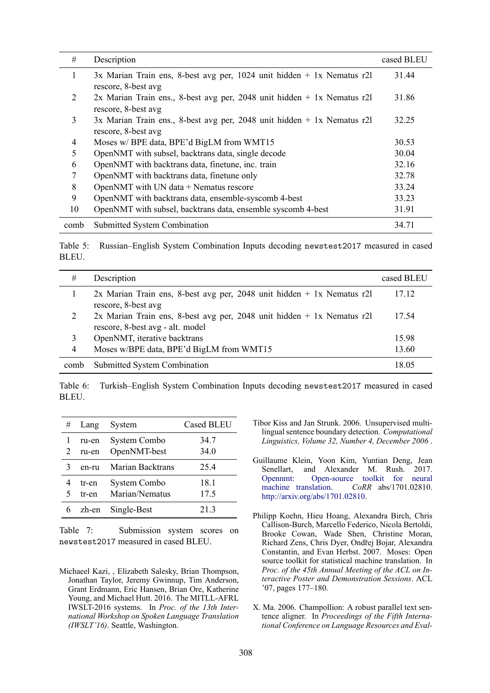| #              | Description                                                                                      | cased BLEU |
|----------------|--------------------------------------------------------------------------------------------------|------------|
| 1              | $3x$ Marian Train ens, 8-best avg per, 1024 unit hidden + 1x Nematus r2l<br>rescore, 8-best avg  | 31.44      |
| 2              | 2x Marian Train ens., 8-best avg per, 2048 unit hidden $+$ 1x Nematus r2l<br>rescore, 8-best avg | 31.86      |
| 3              | 3x Marian Train ens., 8-best avg per, 2048 unit hidden $+ 1x$ Nematus r2l<br>rescore, 8-best avg | 32.25      |
| $\overline{4}$ | Moses w/ BPE data, BPE'd BigLM from WMT15                                                        |            |
| 5              | OpenNMT with subsel, backtrans data, single decode                                               |            |
| 6              | OpenNMT with backtrans data, finetune, inc. train                                                |            |
| 7              | OpenNMT with backtrans data, finetune only                                                       |            |
| 8              | OpenNMT with UN data + Nematus rescore                                                           |            |
| 9              | OpenNMT with backtrans data, ensemble-syscomb 4-best                                             |            |
| 10             | OpenNMT with subsel, backtrans data, ensemble syscomb 4-best                                     |            |
| comb           | <b>Submitted System Combination</b>                                                              | 34.71      |

Table 5: Russian–English System Combination Inputs decoding newstest2017 measured in cased BLEU.

| #    | Description                                                                                                  | cased BLEU |
|------|--------------------------------------------------------------------------------------------------------------|------------|
|      | $2x$ Marian Train ens, 8-best avg per, 2048 unit hidden + 1x Nematus r2l<br>rescore, 8-best avg              | 17.12      |
|      |                                                                                                              | 17.54      |
| 2    | $2x$ Marian Train ens, 8-best avg per, 2048 unit hidden + 1x Nematus r2l<br>rescore, 8-best avg - alt. model |            |
| 3    | OpenNMT, iterative backtrans                                                                                 | 15.98      |
| 4    | Moses w/BPE data, BPE'd BigLM from WMT15                                                                     | 13.60      |
| comb | Submitted System Combination                                                                                 | 18 05      |

Table 6: Turkish–English System Combination Inputs decoding newstest2017 measured in cased BLEU.

| # | Lang           | System                         | <b>Cased BLEU</b> |
|---|----------------|--------------------------------|-------------------|
|   | ru-en<br>ru-en | System Combo<br>OpenNMT-best   | 34.7<br>34.0      |
| 3 | en-ru          | Marian Backtrans               | 25.4              |
| 5 | tr-en<br>tr-en | System Combo<br>Marian/Nematus | 18.1<br>17.5      |
|   | zh-en          | Single-Best                    | 21.3              |

Table 7: Submission system scores on newstest2017 measured in cased BLEU.

- Guillaume Klein, Yoon Kim, Yuntian Deng, Jean Senellart, and Alexander M. Rush. 2017. Opennmt: Open-source toolkit for neural machine translation. *CoRR* abs/1701.02810. http://arxiv.org/abs/1701.02810.
- Philipp Koehn, Hieu Hoang, Alexandra Birch, Chris Callison-Burch, Marcello Federico, Nicola Bertoldi, Brooke Cowan, Wade Shen, Christine Moran, Richard Zens, Chris Dyer, Ondřej Bojar, Alexandra Constantin, and Evan Herbst. 2007. Moses: Open source toolkit for statistical machine translation. In *Proc. of the 45th Annual Meeting of the ACL on Interactive Poster and Demonstration Sessions*. ACL '07, pages 177–180.
- X. Ma. 2006. Champollion: A robust parallel text sentence aligner. In *Proceedings of the Fifth International Conference on Language Resources and Eval-*

Michaeel Kazi, , Elizabeth Salesky, Brian Thompson, Jonathan Taylor, Jeremy Gwinnup, Tim Anderson, Grant Erdmann, Eric Hansen, Brian Ore, Katherine Young, and Michael Hutt. 2016. The MITLL-AFRL IWSLT-2016 systems. In *Proc. of the 13th International Workshop on Spoken Language Translation (IWSLT'16)*. Seattle, Washington.

Tibor Kiss and Jan Strunk. 2006. Unsupervised multilingual sentence boundary detection. *Computational Linguistics, Volume 32, Number 4, December 2006* .